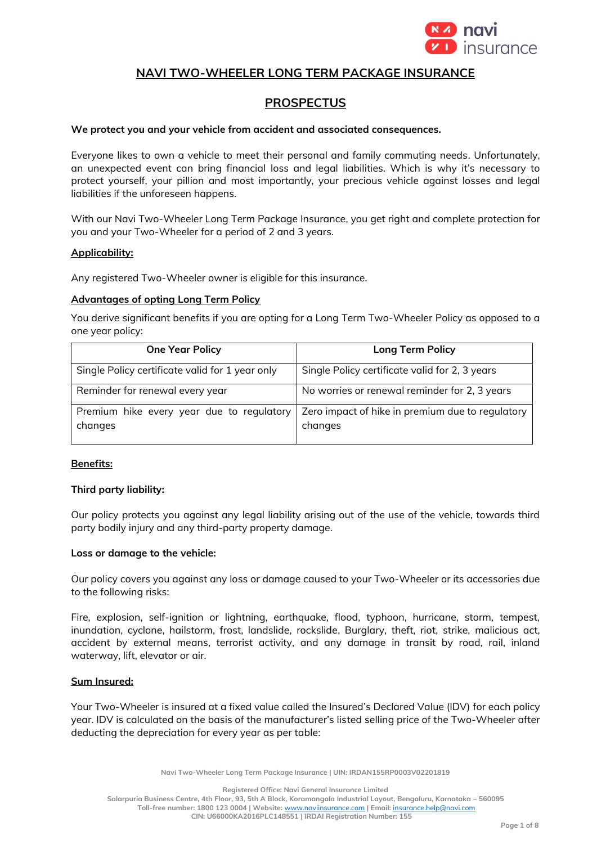

# **NAVI TWO-WHEELER LONG TERM PACKAGE INSURANCE**

# **PROSPECTUS**

#### **We protect you and your vehicle from accident and associated consequences.**

Everyone likes to own a vehicle to meet their personal and family commuting needs. Unfortunately, an unexpected event can bring financial loss and legal liabilities. Which is why it's necessary to protect yourself, your pillion and most importantly, your precious vehicle against losses and legal liabilities if the unforeseen happens.

With our Navi Two-Wheeler Long Term Package Insurance, you get right and complete protection for you and your Two-Wheeler for a period of 2 and 3 years.

#### **Applicability:**

Any registered Two-Wheeler owner is eligible for this insurance.

#### **Advantages of opting Long Term Policy**

You derive significant benefits if you are opting for a Long Term Two-Wheeler Policy as opposed to a one year policy:

| <b>One Year Policy</b>                               | <b>Long Term Policy</b>                                     |
|------------------------------------------------------|-------------------------------------------------------------|
| Single Policy certificate valid for 1 year only      | Single Policy certificate valid for 2, 3 years              |
| Reminder for renewal every year                      | No worries or renewal reminder for 2, 3 years               |
| Premium hike every year due to regulatory<br>changes | Zero impact of hike in premium due to regulatory<br>changes |

# **Benefits:**

#### **Third party liability:**

Our policy protects you against any legal liability arising out of the use of the vehicle, towards third party bodily injury and any third-party property damage.

#### **Loss or damage to the vehicle:**

Our policy covers you against any loss or damage caused to your Two-Wheeler or its accessories due to the following risks:

Fire, explosion, self-ignition or lightning, earthquake, flood, typhoon, hurricane, storm, tempest, inundation, cyclone, hailstorm, frost, landslide, rockslide, Burglary, theft, riot, strike, malicious act, accident by external means, terrorist activity, and any damage in transit by road, rail, inland waterway, lift, elevator or air.

#### **Sum Insured:**

Your Two-Wheeler is insured at a fixed value called the Insured's Declared Value (IDV) for each policy year. IDV is calculated on the basis of the manufacturer's listed selling price of the Two-Wheeler after deducting the depreciation for every year as per table:

**Navi Two-Wheeler Long Term Package Insurance | UIN: IRDAN155RP0003V02201819**

**Registered Office: Navi General Insurance Limited**

**Salarpuria Business Centre, 4th Floor, 93, 5th A Block, Koramangala Industrial Layout, Bengaluru, Karnataka – 560095 Toll-free number: 1800 123 0004 | Website:** [www.naviinsurance.com](http://www.naviinsurance.com/) **| Email:** [insurance.help@navi.com](mailto:insurance.help@navi.com)

**CIN: U66000KA2016PLC148551 | IRDAI Registration Number: 155**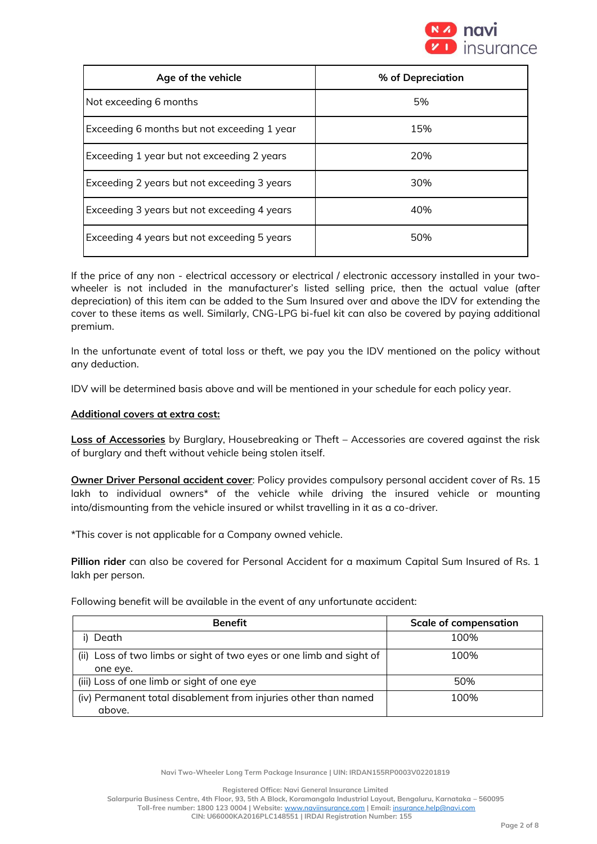

| Age of the vehicle                          | % of Depreciation |
|---------------------------------------------|-------------------|
| Not exceeding 6 months                      | 5%                |
| Exceeding 6 months but not exceeding 1 year | 15%               |
| Exceeding 1 year but not exceeding 2 years  | 20%               |
| Exceeding 2 years but not exceeding 3 years | 30%               |
| Exceeding 3 years but not exceeding 4 years | 40%               |
| Exceeding 4 years but not exceeding 5 years | 50%               |

If the price of any non - electrical accessory or electrical / electronic accessory installed in your twowheeler is not included in the manufacturer's listed selling price, then the actual value (after depreciation) of this item can be added to the Sum Insured over and above the IDV for extending the cover to these items as well. Similarly, CNG-LPG bi-fuel kit can also be covered by paying additional premium.

In the unfortunate event of total loss or theft, we pay you the IDV mentioned on the policy without any deduction.

IDV will be determined basis above and will be mentioned in your schedule for each policy year.

#### **Additional covers at extra cost:**

**Loss of Accessories** by Burglary, Housebreaking or Theft – Accessories are covered against the risk of burglary and theft without vehicle being stolen itself.

**Owner Driver Personal accident cover**: Policy provides compulsory personal accident cover of Rs. 15 lakh to individual owners\* of the vehicle while driving the insured vehicle or mounting into/dismounting from the vehicle insured or whilst travelling in it as a co-driver.

\*This cover is not applicable for a Company owned vehicle.

**Pillion rider** can also be covered for Personal Accident for a maximum Capital Sum Insured of Rs. 1 lakh per person.

Following benefit will be available in the event of any unfortunate accident:

| <b>Benefit</b>                                                                   | <b>Scale of compensation</b> |
|----------------------------------------------------------------------------------|------------------------------|
| Death                                                                            | 100%                         |
| (ii) Loss of two limbs or sight of two eyes or one limb and sight of<br>one eye. | 100%                         |
| (iii) Loss of one limb or sight of one eye                                       | 50%                          |
| (iv) Permanent total disablement from injuries other than named<br>above.        | 100%                         |

**Navi Two-Wheeler Long Term Package Insurance | UIN: IRDAN155RP0003V02201819**

**Registered Office: Navi General Insurance Limited**

**Salarpuria Business Centre, 4th Floor, 93, 5th A Block, Koramangala Industrial Layout, Bengaluru, Karnataka – 560095**

**Toll-free number: 1800 123 0004 | Website:** [www.naviinsurance.com](http://www.naviinsurance.com/) **| Email:** [insurance.help@navi.com](mailto:insurance.help@navi.com) **CIN: U66000KA2016PLC148551 | IRDAI Registration Number: 155**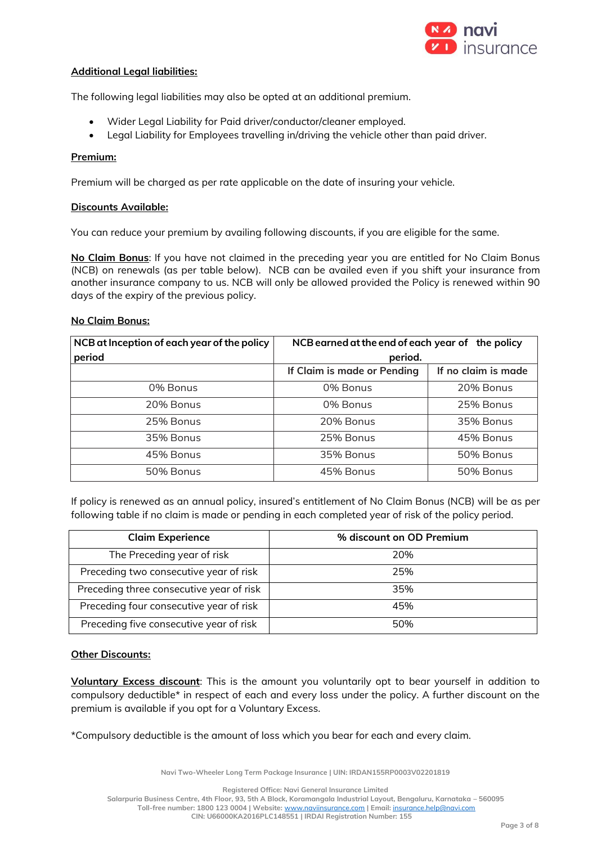

### **Additional Legal liabilities:**

The following legal liabilities may also be opted at an additional premium.

- Wider Legal Liability for Paid driver/conductor/cleaner employed.
- Legal Liability for Employees travelling in/driving the vehicle other than paid driver.

#### **Premium:**

Premium will be charged as per rate applicable on the date of insuring your vehicle.

#### **Discounts Available:**

You can reduce your premium by availing following discounts, if you are eligible for the same.

**No Claim Bonus**: If you have not claimed in the preceding year you are entitled for No Claim Bonus (NCB) on renewals (as per table below). NCB can be availed even if you shift your insurance from another insurance company to us. NCB will only be allowed provided the Policy is renewed within 90 days of the expiry of the previous policy.

#### **No Claim Bonus:**

| NCB at Inception of each year of the policy | NCB earned at the end of each year of the policy |                     |
|---------------------------------------------|--------------------------------------------------|---------------------|
| period                                      | period.                                          |                     |
|                                             | If Claim is made or Pending                      | If no claim is made |
| 0% Bonus                                    | 0% Bonus                                         | 20% Bonus           |
| 20% Bonus                                   | 0% Bonus                                         | 25% Bonus           |
| 25% Bonus                                   | 20% Bonus                                        | 35% Bonus           |
| 35% Bonus                                   | 25% Bonus                                        | 45% Bonus           |
| 45% Bonus                                   | 35% Bonus                                        | 50% Bonus           |
| 50% Bonus                                   | 45% Bonus                                        | 50% Bonus           |

If policy is renewed as an annual policy, insured's entitlement of No Claim Bonus (NCB) will be as per following table if no claim is made or pending in each completed year of risk of the policy period.

| <b>Claim Experience</b>                  | % discount on OD Premium |
|------------------------------------------|--------------------------|
| The Preceding year of risk               | 20%                      |
| Preceding two consecutive year of risk   | 25%                      |
| Preceding three consecutive year of risk | 35%                      |
| Preceding four consecutive year of risk  | 45%                      |
| Preceding five consecutive year of risk  | 50%                      |

#### **Other Discounts:**

**Voluntary Excess discount**: This is the amount you voluntarily opt to bear yourself in addition to compulsory deductible\* in respect of each and every loss under the policy. A further discount on the premium is available if you opt for a Voluntary Excess.

\*Compulsory deductible is the amount of loss which you bear for each and every claim.

**Navi Two-Wheeler Long Term Package Insurance | UIN: IRDAN155RP0003V02201819**

**Registered Office: Navi General Insurance Limited**

**Salarpuria Business Centre, 4th Floor, 93, 5th A Block, Koramangala Industrial Layout, Bengaluru, Karnataka – 560095 Toll-free number: 1800 123 0004 | Website:** [www.naviinsurance.com](http://www.naviinsurance.com/) **| Email:** [insurance.help@navi.com](mailto:insurance.help@navi.com)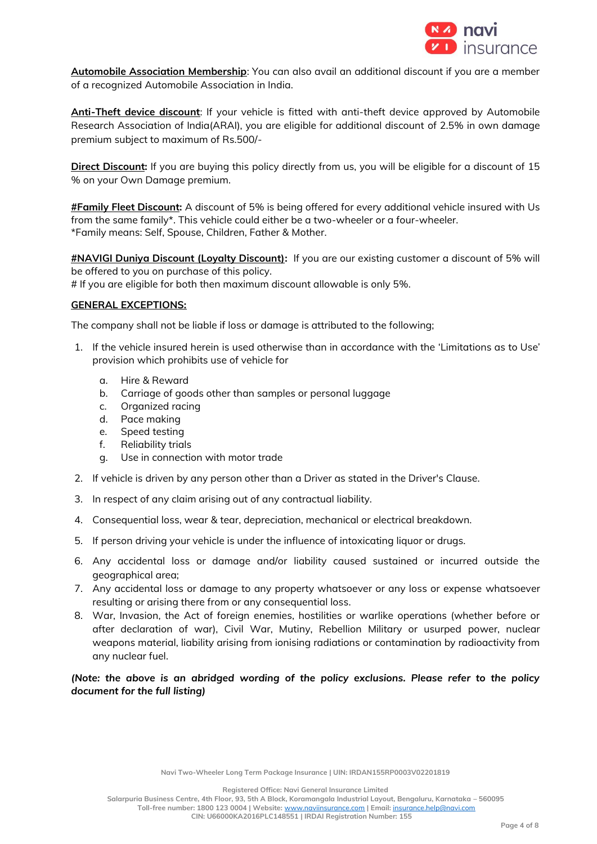

**Automobile Association Membership**: You can also avail an additional discount if you are a member of a recognized Automobile Association in India.

**Anti-Theft device discount**: If your vehicle is fitted with anti-theft device approved by Automobile Research Association of India(ARAI), you are eligible for additional discount of 2.5% in own damage premium subject to maximum of Rs.500/-

**Direct Discount:** If you are buying this policy directly from us, you will be eligible for a discount of 15 % on your Own Damage premium.

**#Family Fleet Discount:** A discount of 5% is being offered for every additional vehicle insured with Us from the same family\*. This vehicle could either be a two-wheeler or a four-wheeler. \*Family means: Self, Spouse, Children, Father & Mother.

**#NAVIGI Duniya Discount (Loyalty Discount):** If you are our existing customer a discount of 5% will be offered to you on purchase of this policy.

# If you are eligible for both then maximum discount allowable is only 5%.

#### **GENERAL EXCEPTIONS:**

The company shall not be liable if loss or damage is attributed to the following;

- 1. If the vehicle insured herein is used otherwise than in accordance with the 'Limitations as to Use' provision which prohibits use of vehicle for
	- a. Hire & Reward
	- b. Carriage of goods other than samples or personal luggage
	- c. Organized racing
	- d. Pace making
	- e. Speed testing
	- f. Reliability trials
	- g. Use in connection with motor trade
- 2. If vehicle is driven by any person other than a Driver as stated in the Driver's Clause.
- 3. In respect of any claim arising out of any contractual liability.
- 4. Consequential loss, wear & tear, depreciation, mechanical or electrical breakdown.
- 5. If person driving your vehicle is under the influence of intoxicating liquor or drugs.
- 6. Any accidental loss or damage and/or liability caused sustained or incurred outside the geographical area;
- 7. Any accidental loss or damage to any property whatsoever or any loss or expense whatsoever resulting or arising there from or any consequential loss.
- 8. War, Invasion, the Act of foreign enemies, hostilities or warlike operations (whether before or after declaration of war), Civil War, Mutiny, Rebellion Military or usurped power, nuclear weapons material, liability arising from ionising radiations or contamination by radioactivity from any nuclear fuel.

# *(Note: the above is an abridged wording of the policy exclusions. Please refer to the policy document for the full listing)*

**Navi Two-Wheeler Long Term Package Insurance | UIN: IRDAN155RP0003V02201819**

**Registered Office: Navi General Insurance Limited**

**Salarpuria Business Centre, 4th Floor, 93, 5th A Block, Koramangala Industrial Layout, Bengaluru, Karnataka – 560095**

**Toll-free number: 1800 123 0004 | Website:** [www.naviinsurance.com](http://www.naviinsurance.com/) **| Email:** [insurance.help@navi.com](mailto:insurance.help@navi.com) **CIN: U66000KA2016PLC148551 | IRDAI Registration Number: 155**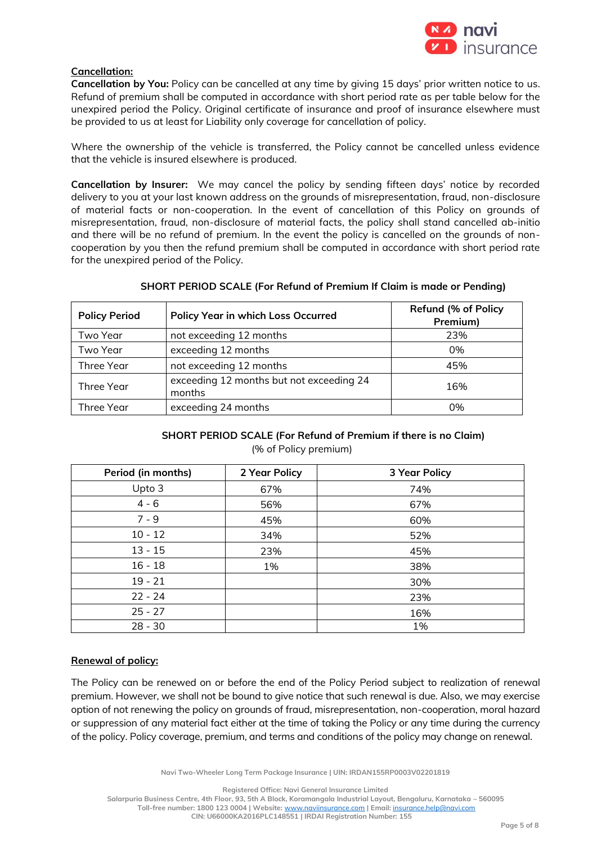

# **Cancellation:**

**Cancellation by You:** Policy can be cancelled at any time by giving 15 days' prior written notice to us. Refund of premium shall be computed in accordance with short period rate as per table below for the unexpired period the Policy. Original certificate of insurance and proof of insurance elsewhere must be provided to us at least for Liability only coverage for cancellation of policy.

Where the ownership of the vehicle is transferred, the Policy cannot be cancelled unless evidence that the vehicle is insured elsewhere is produced.

**Cancellation by Insurer:** We may cancel the policy by sending fifteen days' notice by recorded delivery to you at your last known address on the grounds of misrepresentation, fraud, non-disclosure of material facts or non-cooperation. In the event of cancellation of this Policy on grounds of misrepresentation, fraud, non-disclosure of material facts, the policy shall stand cancelled ab-initio and there will be no refund of premium. In the event the policy is cancelled on the grounds of noncooperation by you then the refund premium shall be computed in accordance with short period rate for the unexpired period of the Policy.

| <b>Policy Period</b> | <b>Policy Year in which Loss Occurred</b>          | <b>Refund (% of Policy</b><br>Premium) |
|----------------------|----------------------------------------------------|----------------------------------------|
| Two Year             | not exceeding 12 months                            | 23%                                    |
| Two Year             | exceeding 12 months                                | 0%                                     |
| Three Year           | not exceeding 12 months                            | 45%                                    |
| Three Year           | exceeding 12 months but not exceeding 24<br>months | 16%                                    |
| Three Year           | exceeding 24 months                                | 0%                                     |

# **SHORT PERIOD SCALE (For Refund of Premium If Claim is made or Pending)**

# **SHORT PERIOD SCALE (For Refund of Premium if there is no Claim)** (% of Policy premium)

| Period (in months) | 2 Year Policy | <b>3 Year Policy</b> |
|--------------------|---------------|----------------------|
| Upto 3             | 67%           | 74%                  |
| $4 - 6$            | 56%           | 67%                  |
| $7 - 9$            | 45%           | 60%                  |
| $10 - 12$          | 34%           | 52%                  |
| $13 - 15$          | 23%           | 45%                  |
| $16 - 18$          | 1%            | 38%                  |
| $19 - 21$          |               | 30%                  |
| $22 - 24$          |               | 23%                  |
| $25 - 27$          |               | 16%                  |
| $28 - 30$          |               | 1%                   |

# **Renewal of policy:**

The Policy can be renewed on or before the end of the Policy Period subject to realization of renewal premium. However, we shall not be bound to give notice that such renewal is due. Also, we may exercise option of not renewing the policy on grounds of fraud, misrepresentation, non-cooperation, moral hazard or suppression of any material fact either at the time of taking the Policy or any time during the currency of the policy. Policy coverage, premium, and terms and conditions of the policy may change on renewal.

**Navi Two-Wheeler Long Term Package Insurance | UIN: IRDAN155RP0003V02201819**

**Registered Office: Navi General Insurance Limited**

**Salarpuria Business Centre, 4th Floor, 93, 5th A Block, Koramangala Industrial Layout, Bengaluru, Karnataka – 560095 Toll-free number: 1800 123 0004 | Website:** [www.naviinsurance.com](http://www.naviinsurance.com/) **| Email:** [insurance.help@navi.com](mailto:insurance.help@navi.com)

**CIN: U66000KA2016PLC148551 | IRDAI Registration Number: 155**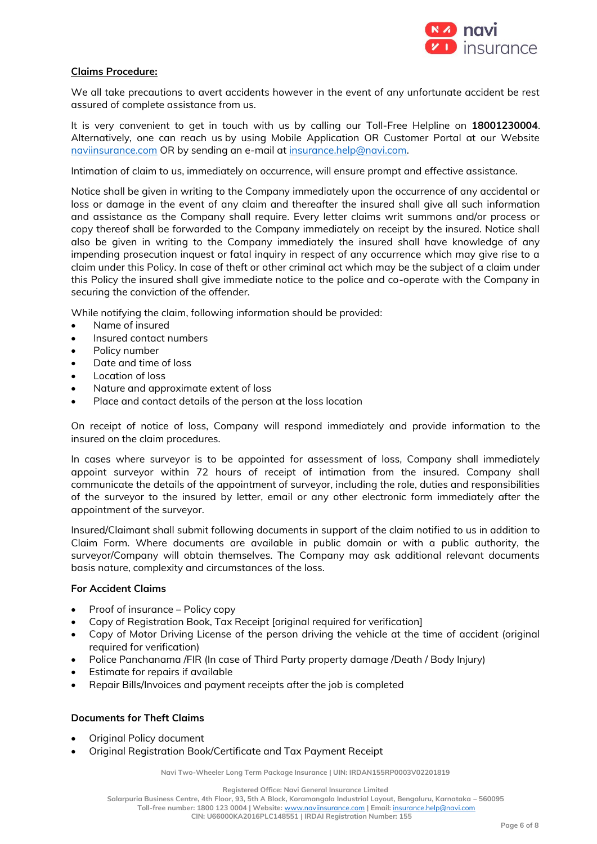

### **Claims Procedure:**

We all take precautions to avert accidents however in the event of any unfortunate accident be rest assured of complete assistance from us.

It is very convenient to get in touch with us by calling our Toll-Free Helpline on **18001230004**. Alternatively, one can reach us by using Mobile Application OR Customer Portal at our Website [naviinsurance.com](mailto:naviinsurance.com) OR by sending an e-mail at [insurance.help@navi.com.](mailto:insurance.help@navi.com)

Intimation of claim to us, immediately on occurrence, will ensure prompt and effective assistance.

Notice shall be given in writing to the Company immediately upon the occurrence of any accidental or loss or damage in the event of any claim and thereafter the insured shall give all such information and assistance as the Company shall require. Every letter claims writ summons and/or process or copy thereof shall be forwarded to the Company immediately on receipt by the insured. Notice shall also be given in writing to the Company immediately the insured shall have knowledge of any impending prosecution inquest or fatal inquiry in respect of any occurrence which may give rise to a claim under this Policy. In case of theft or other criminal act which may be the subject of a claim under this Policy the insured shall give immediate notice to the police and co-operate with the Company in securing the conviction of the offender.

While notifying the claim, following information should be provided:

- Name of insured
- Insured contact numbers
- Policy number
- Date and time of loss
- Location of loss
- Nature and approximate extent of loss
- Place and contact details of the person at the loss location

On receipt of notice of loss, Company will respond immediately and provide information to the insured on the claim procedures.

In cases where surveyor is to be appointed for assessment of loss, Company shall immediately appoint surveyor within 72 hours of receipt of intimation from the insured. Company shall communicate the details of the appointment of surveyor, including the role, duties and responsibilities of the surveyor to the insured by letter, email or any other electronic form immediately after the appointment of the surveyor.

Insured/Claimant shall submit following documents in support of the claim notified to us in addition to Claim Form. Where documents are available in public domain or with a public authority, the surveyor/Company will obtain themselves. The Company may ask additional relevant documents basis nature, complexity and circumstances of the loss.

#### **For Accident Claims**

- Proof of insurance Policy copy
- Copy of Registration Book, Tax Receipt [original required for verification]
- Copy of Motor Driving License of the person driving the vehicle at the time of accident (original required for verification)
- Police Panchanama /FIR (In case of Third Party property damage /Death / Body Injury)
- Estimate for repairs if available
- Repair Bills/Invoices and payment receipts after the job is completed

# **Documents for Theft Claims**

- Original Policy document
- Original Registration Book/Certificate and Tax Payment Receipt

**Navi Two-Wheeler Long Term Package Insurance | UIN: IRDAN155RP0003V02201819**

**Registered Office: Navi General Insurance Limited**

**Salarpuria Business Centre, 4th Floor, 93, 5th A Block, Koramangala Industrial Layout, Bengaluru, Karnataka – 560095**

**Toll-free number: 1800 123 0004 | Website:** [www.naviinsurance.com](http://www.naviinsurance.com/) **| Email:** [insurance.help@navi.com](mailto:insurance.help@navi.com)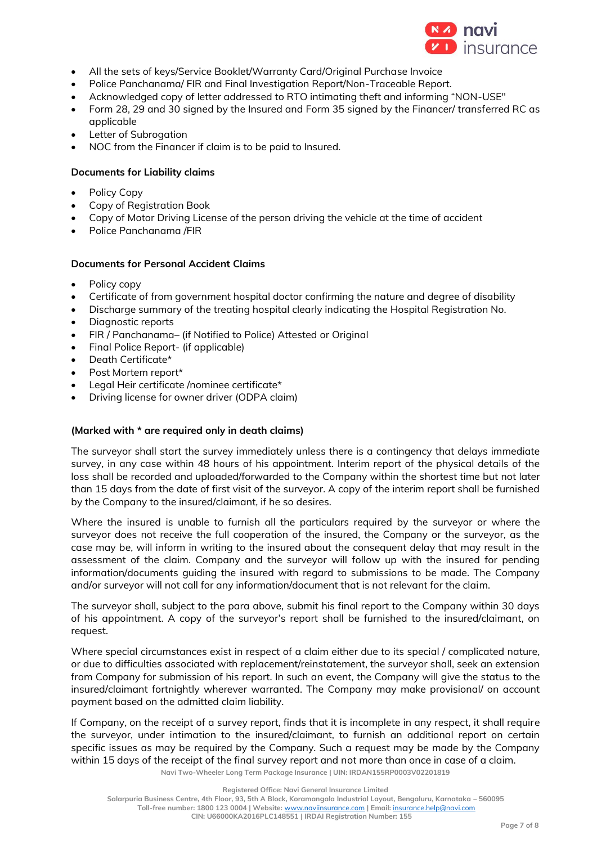

- All the sets of keys/Service Booklet/Warranty Card/Original Purchase Invoice
- Police Panchanama/ FIR and Final Investigation Report/Non-Traceable Report.
- Acknowledged copy of letter addressed to RTO intimating theft and informing "NON-USE"
- Form 28, 29 and 30 signed by the Insured and Form 35 signed by the Financer/ transferred RC as applicable
- Letter of Subrogation
- NOC from the Financer if claim is to be paid to Insured.

# **Documents for Liability claims**

- Policy Copy
- Copy of Registration Book
- Copy of Motor Driving License of the person driving the vehicle at the time of accident
- Police Panchanama /FIR

# **Documents for Personal Accident Claims**

- Policy copy
- Certificate of from government hospital doctor confirming the nature and degree of disability
- Discharge summary of the treating hospital clearly indicating the Hospital Registration No.
- Diagnostic reports
- FIR / Panchanama– (if Notified to Police) Attested or Original
- Final Police Report- (if applicable)
- Death Certificate\*
- Post Mortem report\*
- Legal Heir certificate /nominee certificate\*
- Driving license for owner driver (ODPA claim)

# **(Marked with \* are required only in death claims)**

The surveyor shall start the survey immediately unless there is a contingency that delays immediate survey, in any case within 48 hours of his appointment. Interim report of the physical details of the loss shall be recorded and uploaded/forwarded to the Company within the shortest time but not later than 15 days from the date of first visit of the surveyor. A copy of the interim report shall be furnished by the Company to the insured/claimant, if he so desires.

Where the insured is unable to furnish all the particulars required by the surveyor or where the surveyor does not receive the full cooperation of the insured, the Company or the surveyor, as the case may be, will inform in writing to the insured about the consequent delay that may result in the assessment of the claim. Company and the surveyor will follow up with the insured for pending information/documents guiding the insured with regard to submissions to be made. The Company and/or surveyor will not call for any information/document that is not relevant for the claim.

The surveyor shall, subject to the para above, submit his final report to the Company within 30 days of his appointment. A copy of the surveyor's report shall be furnished to the insured/claimant, on request.

Where special circumstances exist in respect of a claim either due to its special / complicated nature, or due to difficulties associated with replacement/reinstatement, the surveyor shall, seek an extension from Company for submission of his report. In such an event, the Company will give the status to the insured/claimant fortnightly wherever warranted. The Company may make provisional/ on account payment based on the admitted claim liability.

**Navi Two-Wheeler Long Term Package Insurance | UIN: IRDAN155RP0003V02201819** If Company, on the receipt of a survey report, finds that it is incomplete in any respect, it shall require the surveyor, under intimation to the insured/claimant, to furnish an additional report on certain specific issues as may be required by the Company. Such a request may be made by the Company within 15 days of the receipt of the final survey report and not more than once in case of a claim.

**Salarpuria Business Centre, 4th Floor, 93, 5th A Block, Koramangala Industrial Layout, Bengaluru, Karnataka – 560095 Toll-free number: 1800 123 0004 | Website:** [www.naviinsurance.com](http://www.naviinsurance.com/) **| Email:** [insurance.help@navi.com](mailto:insurance.help@navi.com) **CIN: U66000KA2016PLC148551 | IRDAI Registration Number: 155**

**Registered Office: Navi General Insurance Limited**